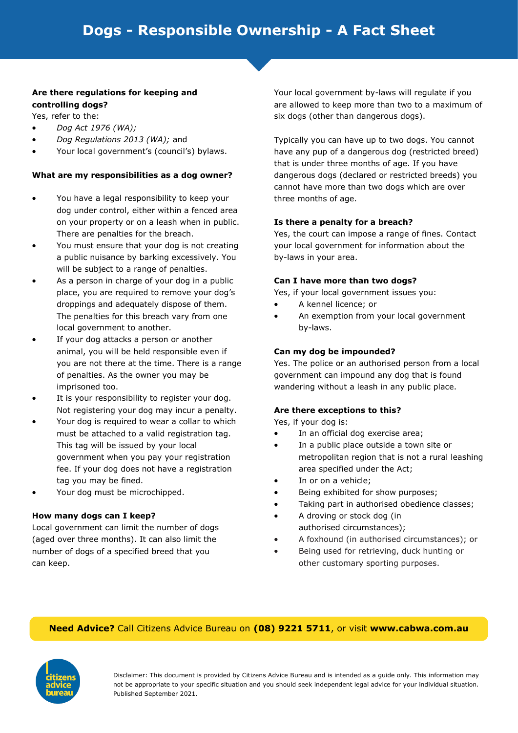# **Are there regulations for keeping and controlling dogs?**

Yes, refer to the:

- *Dog Act 1976 (WA);*
- *Dog Regulations 2013 (WA);* and
- Your local government's (council's) bylaws.

#### **What are my responsibilities as a dog owner?**

- You have a legal responsibility to keep your dog under control, either within a fenced area on your property or on a leash when in public. There are penalties for the breach.
- You must ensure that your dog is not creating a public nuisance by barking excessively. You will be subject to a range of penalties.
- As a person in charge of your dog in a public place, you are required to remove your dog's droppings and adequately dispose of them. The penalties for this breach vary from one local government to another.
- If your dog attacks a person or another animal, you will be held responsible even if you are not there at the time. There is a range of penalties. As the owner you may be imprisoned too.
- It is your responsibility to register your dog. Not registering your dog may incur a penalty.
- Your dog is required to wear a collar to which must be attached to a valid registration tag. This tag will be issued by your local government when you pay your registration fee. If your dog does not have a registration tag you may be fined.
- Your dog must be microchipped.

#### **How many dogs can I keep?**

Local government can limit the number of dogs (aged over three months). It can also limit the number of dogs of a specified breed that you can keep.

Your local government by-laws will regulate if you are allowed to keep more than two to a maximum of six dogs (other than dangerous dogs).

Typically you can have up to two dogs. You cannot have any pup of a dangerous dog (restricted breed) that is under three months of age. If you have dangerous dogs (declared or restricted breeds) you cannot have more than two dogs which are over three months of age.

# **Is there a penalty for a breach?**

Yes, the court can impose a range of fines. Contact your local government for information about the by-laws in your area.

#### **Can I have more than two dogs?**

Yes, if your local government issues you:

- A kennel licence; or
- An exemption from your local government by-laws.

# **Can my dog be impounded?**

Yes. The police or an authorised person from a local government can impound any dog that is found wandering without a leash in any public place.

#### **Are there exceptions to this?**

Yes, if your dog is:

- In an official dog exercise area;
- In a public place outside a town site or metropolitan region that is not a rural leashing area specified under the Act;
- In or on a vehicle;
- Being exhibited for show purposes;
- Taking part in authorised obedience classes;
- A droving or stock dog (in authorised circumstances);
- A foxhound (in authorised circumstances); or
- Being used for retrieving, duck hunting or other customary sporting purposes.

# **Need Advice?** Call Citizens Advice Bureau on **(08) 9221 5711**, or visit **www.cabwa.com.au**



Disclaimer: This document is provided by Citizens Advice Bureau and is intended as a guide only. This information may not be appropriate to your specific situation and you should seek independent legal advice for your individual situation. Published September 2021.